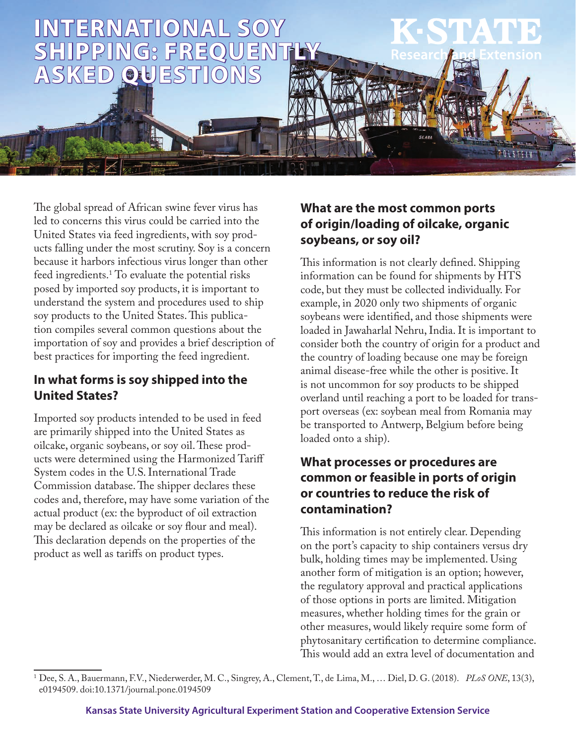

The global spread of African swine fever virus has led to concerns this virus could be carried into the United States via feed ingredients, with soy products falling under the most scrutiny. Soy is a concern because it harbors infectious virus longer than other feed ingredients.1 To evaluate the potential risks posed by imported soy products, it is important to understand the system and procedures used to ship soy products to the United States. This publication compiles several common questions about the importation of soy and provides a brief description of best practices for importing the feed ingredient.

### **In what forms is soy shipped into the United States?**

Imported soy products intended to be used in feed are primarily shipped into the United States as oilcake, organic soybeans, or soy oil. These products were determined using the Harmonized Tariff System codes in the U.S. International Trade Commission database. The shipper declares these codes and, therefore, may have some variation of the actual product (ex: the byproduct of oil extraction may be declared as oilcake or soy flour and meal). This declaration depends on the properties of the product as well as tariffs on product types.

### **What are the most common ports of origin/loading of oilcake, organic soybeans, or soy oil?**

This information is not clearly defined. Shipping information can be found for shipments by HTS code, but they must be collected individually. For example, in 2020 only two shipments of organic soybeans were identified, and those shipments were loaded in Jawaharlal Nehru, India. It is important to consider both the country of origin for a product and the country of loading because one may be foreign animal disease-free while the other is positive. It is not uncommon for soy products to be shipped overland until reaching a port to be loaded for transport overseas (ex: soybean meal from Romania may be transported to Antwerp, Belgium before being loaded onto a ship).

### **What processes or procedures are common or feasible in ports of origin or countries to reduce the risk of contamination?**

This information is not entirely clear. Depending on the port's capacity to ship containers versus dry bulk, holding times may be implemented. Using another form of mitigation is an option; however, the regulatory approval and practical applications of those options in ports are limited. Mitigation measures, whether holding times for the grain or other measures, would likely require some form of phytosanitary certification to determine compliance. This would add an extra level of documentation and

<sup>1</sup> Dee, S. A., Bauermann, F.V., Niederwerder, M. C., Singrey, A., Clement, T., de Lima, M., … Diel, D. G. (2018). *PLoS ONE*, 13(3), e0194509. doi:10.1371/journal.pone.0194509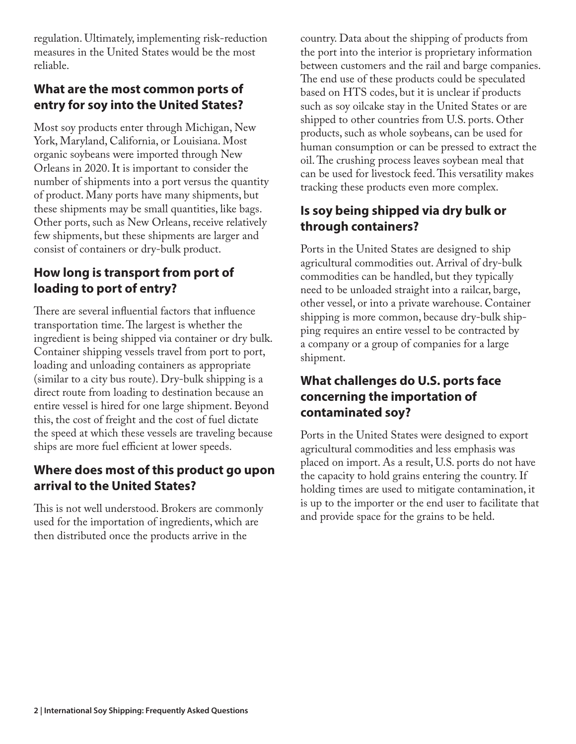regulation. Ultimately, implementing risk-reduction measures in the United States would be the most reliable.

### **What are the most common ports of entry for soy into the United States?**

Most soy products enter through Michigan, New York, Maryland, California, or Louisiana. Most organic soybeans were imported through New Orleans in 2020. It is important to consider the number of shipments into a port versus the quantity of product. Many ports have many shipments, but these shipments may be small quantities, like bags. Other ports, such as New Orleans, receive relatively few shipments, but these shipments are larger and consist of containers or dry-bulk product.

### **How long is transport from port of loading to port of entry?**

There are several influential factors that influence transportation time. The largest is whether the ingredient is being shipped via container or dry bulk. Container shipping vessels travel from port to port, loading and unloading containers as appropriate (similar to a city bus route). Dry-bulk shipping is a direct route from loading to destination because an entire vessel is hired for one large shipment. Beyond this, the cost of freight and the cost of fuel dictate the speed at which these vessels are traveling because ships are more fuel efficient at lower speeds.

### **Where does most of this product go upon arrival to the United States?**

This is not well understood. Brokers are commonly used for the importation of ingredients, which are then distributed once the products arrive in the

country. Data about the shipping of products from the port into the interior is proprietary information between customers and the rail and barge companies. The end use of these products could be speculated based on HTS codes, but it is unclear if products such as soy oilcake stay in the United States or are shipped to other countries from U.S. ports. Other products, such as whole soybeans, can be used for human consumption or can be pressed to extract the oil. The crushing process leaves soybean meal that can be used for livestock feed. This versatility makes tracking these products even more complex.

# **Is soy being shipped via dry bulk or through containers?**

Ports in the United States are designed to ship agricultural commodities out. Arrival of dry-bulk commodities can be handled, but they typically need to be unloaded straight into a railcar, barge, other vessel, or into a private warehouse. Container shipping is more common, because dry-bulk shipping requires an entire vessel to be contracted by a company or a group of companies for a large shipment.

### **What challenges do U.S. ports face concerning the importation of contaminated soy?**

Ports in the United States were designed to export agricultural commodities and less emphasis was placed on import. As a result, U.S. ports do not have the capacity to hold grains entering the country. If holding times are used to mitigate contamination, it is up to the importer or the end user to facilitate that and provide space for the grains to be held.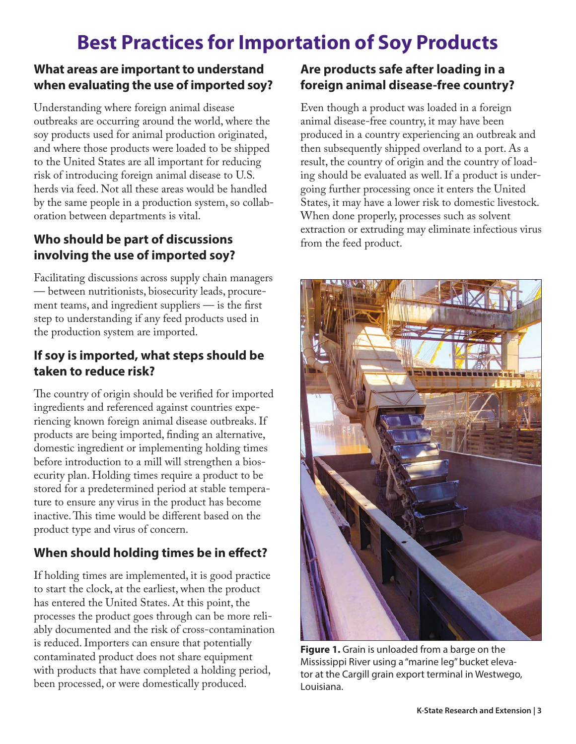# **Best Practices for Importation of Soy Products**

### **What areas are important to understand when evaluating the use of imported soy?**

Understanding where foreign animal disease outbreaks are occurring around the world, where the soy products used for animal production originated, and where those products were loaded to be shipped to the United States are all important for reducing risk of introducing foreign animal disease to U.S. herds via feed. Not all these areas would be handled by the same people in a production system, so collaboration between departments is vital.

### **Who should be part of discussions involving the use of imported soy?**

Facilitating discussions across supply chain managers — between nutritionists, biosecurity leads, procurement teams, and ingredient suppliers — is the first step to understanding if any feed products used in the production system are imported.

### **If soy is imported, what steps should be taken to reduce risk?**

The country of origin should be verified for imported ingredients and referenced against countries experiencing known foreign animal disease outbreaks. If products are being imported, finding an alternative, domestic ingredient or implementing holding times before introduction to a mill will strengthen a biosecurity plan. Holding times require a product to be stored for a predetermined period at stable temperature to ensure any virus in the product has become inactive. This time would be different based on the product type and virus of concern.

# **When should holding times be in effect?**

If holding times are implemented, it is good practice to start the clock, at the earliest, when the product has entered the United States. At this point, the processes the product goes through can be more reliably documented and the risk of cross-contamination is reduced. Importers can ensure that potentially contaminated product does not share equipment with products that have completed a holding period, been processed, or were domestically produced.

# **Are products safe after loading in a foreign animal disease-free country?**

Even though a product was loaded in a foreign animal disease-free country, it may have been produced in a country experiencing an outbreak and then subsequently shipped overland to a port. As a result, the country of origin and the country of loading should be evaluated as well. If a product is undergoing further processing once it enters the United States, it may have a lower risk to domestic livestock. When done properly, processes such as solvent extraction or extruding may eliminate infectious virus from the feed product.



**Figure 1.** Grain is unloaded from a barge on the Mississippi River using a "marine leg" bucket elevator at the Cargill grain export terminal in Westwego, Louisiana.